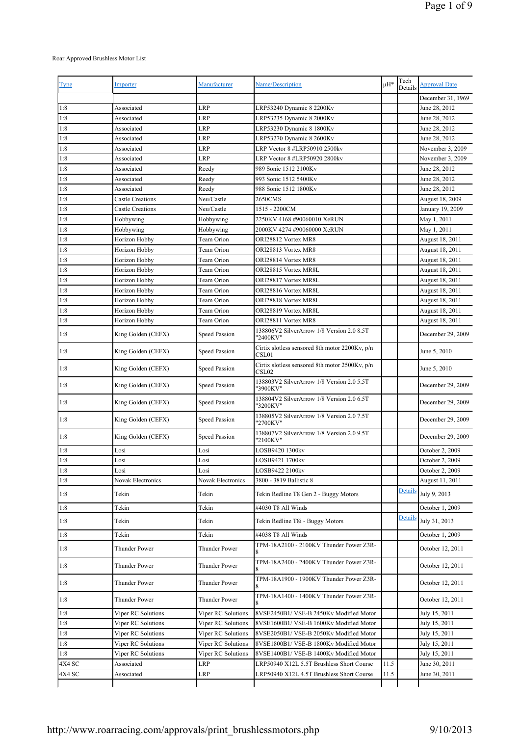## Roar Approved Brushless Motor List

| Type   | Importer                | Manufacturer         | Name/Description                                           | μH*  | Tech<br>Details | <b>Approval Date</b> |
|--------|-------------------------|----------------------|------------------------------------------------------------|------|-----------------|----------------------|
|        |                         |                      |                                                            |      |                 | December 31, 1969    |
| 1:8    | Associated              | <b>LRP</b>           | LRP53240 Dynamic 8 2200Kv                                  |      |                 | June 28, 2012        |
| 1:8    | Associated              | LRP                  | LRP53235 Dynamic 8 2000Kv                                  |      |                 | June 28, 2012        |
| 1:8    | Associated              | LRP                  | LRP53230 Dynamic 8 1800Kv                                  |      |                 | June 28, 2012        |
| 1:8    | Associated              | LRP                  | LRP53270 Dynamic 8 2600Kv                                  |      |                 | June 28, 2012        |
| 1:8    | Associated              | LRP                  | LRP Vector 8 #LRP50910 2500kv                              |      |                 | November 3, 2009     |
| 1:8    | Associated              | LRP                  | LRP Vector 8 #LRP50920 2800kv                              |      |                 | November 3, 2009     |
| 1:8    | Associated              | Reedy                | 989 Sonic 1512 2100Kv                                      |      |                 | June 28, 2012        |
| 1:8    | Associated              | Reedy                | 993 Sonic 1512 5400Kv                                      |      |                 | June 28, 2012        |
| 1:8    | Associated              | Reedy                | 988 Sonic 1512 1800Kv                                      |      |                 | June 28, 2012        |
| 1:8    | <b>Castle Creations</b> | Neu/Castle           | 2650CMS                                                    |      |                 | August 18, 2009      |
| 1:8    | <b>Castle Creations</b> | Neu/Castle           | 1515 - 2200CM                                              |      |                 | January 19, 2009     |
| 1:8    | Hobbywing               | Hobbywing            | 2250KV 4168 #90060010 XeRUN                                |      |                 | May 1, 2011          |
| 1:8    | Hobbywing               | Hobbywing            | 2000KV 4274 #90060000 XeRUN                                |      |                 | May 1, 2011          |
| 1:8    | Horizon Hobby           | Team Orion           | ORI28812 Vortex MR8                                        |      |                 | August 18, 2011      |
| 1:8    | Horizon Hobby           | Team Orion           | ORI28813 Vortex MR8                                        |      |                 | August 18, 2011      |
| 1:8    | Horizon Hobby           | Team Orion           | ORI28814 Vortex MR8                                        |      |                 | August 18, 2011      |
| 1:8    | Horizon Hobby           | Team Orion           | ORI28815 Vortex MR8L                                       |      |                 | August 18, 2011      |
| 1:8    | Horizon Hobby           | Team Orion           | ORI28817 Vortex MR8L                                       |      |                 | August 18, 2011      |
| 1:8    | Horizon Hobby           | Team Orion           | ORI28816 Vortex MR8L                                       |      |                 | August 18, 2011      |
| 1:8    | Horizon Hobby           | Team Orion           | ORI28818 Vortex MR8L                                       |      |                 | August 18, 2011      |
| 1:8    | Horizon Hobby           | Team Orion           | ORI28819 Vortex MR8L                                       |      |                 | August 18, 2011      |
| 1:8    | Horizon Hobby           | Team Orion           | ORI28811 Vortex MR8                                        |      |                 | August 18, 2011      |
|        |                         |                      | 138806V2 SilverArrow 1/8 Version 2.0 8.5T                  |      |                 |                      |
| 1:8    | King Golden (CEFX)      | Speed Passion        | "2400KV"<br>Cirtix slotless sensored 8th motor 2200Kv, p/n |      |                 | December 29, 2009    |
| 1:8    | King Golden (CEFX)      | <b>Speed Passion</b> | CSL01                                                      |      |                 | June 5, 2010         |
| 1:8    | King Golden (CEFX)      | <b>Speed Passion</b> | Cirtix slotless sensored 8th motor 2500Kv, p/n<br>CSL02    |      |                 | June 5, 2010         |
| 1:8    | King Golden (CEFX)      | Speed Passion        | 138803V2 SilverArrow 1/8 Version 2.0 5.5T<br>"3900KV"      |      |                 | December 29, 2009    |
| 1:8    | King Golden (CEFX)      | Speed Passion        | 138804V2 SilverArrow 1/8 Version 2.0 6.5T<br>"3200KV"      |      |                 | December 29, 2009    |
| 1:8    | King Golden (CEFX)      | <b>Speed Passion</b> | 138805V2 SilverArrow 1/8 Version 2.0 7.5T<br>"2700KV"      |      |                 | December 29, 2009    |
| 1:8    | King Golden (CEFX)      | <b>Speed Passion</b> | 138807V2 SilverArrow 1/8 Version 2.0 9.5T<br>"2100KV"      |      |                 | December 29, 2009    |
| 1:8    | Losi                    | Losi                 | LOSB9420 1300kv                                            |      |                 | October 2, 2009      |
| 1:8    | Losi                    | Losi                 | LOSB9421 1700kv                                            |      |                 | October 2, 2009      |
| 1:8    | Losi                    | Losi                 | LOSB9422 2100kv                                            |      |                 | October 2, 2009      |
| 1:8    | Novak Electronics       | Novak Electronics    | 3800 - 3819 Ballistic 8                                    |      |                 | August 11, 2011      |
| 1:8    | Tekin                   | Tekin                | Tekin Redline T8 Gen 2 - Buggy Motors                      |      | Details         | July 9, 2013         |
| 1:8    | Tekin                   | Tekin                | #4030 T8 All Winds                                         |      |                 | October 1, 2009      |
| 1:8    | Tekin                   | Tekin                | Tekin Redline T8i - Buggy Motors                           |      | Detail          | July 31, 2013        |
| 1:8    | Tekin                   | Tekin                | #4038 T8 All Winds                                         |      |                 | October 1, 2009      |
| 1:8    | Thunder Power           | Thunder Power        | TPM-18A2100 - 2100KV Thunder Power Z3R-<br>8               |      |                 | October 12, 2011     |
| 1:8    | Thunder Power           | Thunder Power        | TPM-18A2400 - 2400KV Thunder Power Z3R-                    |      |                 | October 12, 2011     |
| 1:8    | Thunder Power           | Thunder Power        | TPM-18A1900 - 1900KV Thunder Power Z3R-                    |      |                 | October 12, 2011     |
| 1:8    | Thunder Power           | Thunder Power        | TPM-18A1400 - 1400KV Thunder Power Z3R-<br>8               |      |                 | October 12, 2011     |
| 1:8    | Viper RC Solutions      | Viper RC Solutions   | 8VSE2450B1/ VSE-B 2450Kv Modified Motor                    |      |                 | July 15, 2011        |
| 1:8    | Viper RC Solutions      | Viper RC Solutions   | 8VSE1600B1/ VSE-B 1600Kv Modified Motor                    |      |                 | July 15, 2011        |
| 1:8    | Viper RC Solutions      | Viper RC Solutions   | 8VSE2050B1/ VSE-B 2050Kv Modified Motor                    |      |                 | July 15, 2011        |
| 1:8    | Viper RC Solutions      | Viper RC Solutions   | 8VSE1800B1/ VSE-B 1800Kv Modified Motor                    |      |                 | July 15, 2011        |
| 1:8    | Viper RC Solutions      | Viper RC Solutions   | 8VSE1400B1/ VSE-B 1400Kv Modified Motor                    |      |                 | July 15, 2011        |
| 4X4 SC | Associated              | LRP                  | LRP50940 X12L 5.5T Brushless Short Course                  | 11.5 |                 | June 30, 2011        |
| 4X4 SC | Associated              | LRP                  | LRP50940 X12L 4.5T Brushless Short Course                  | 11.5 |                 | June 30, 2011        |
|        |                         |                      |                                                            |      |                 |                      |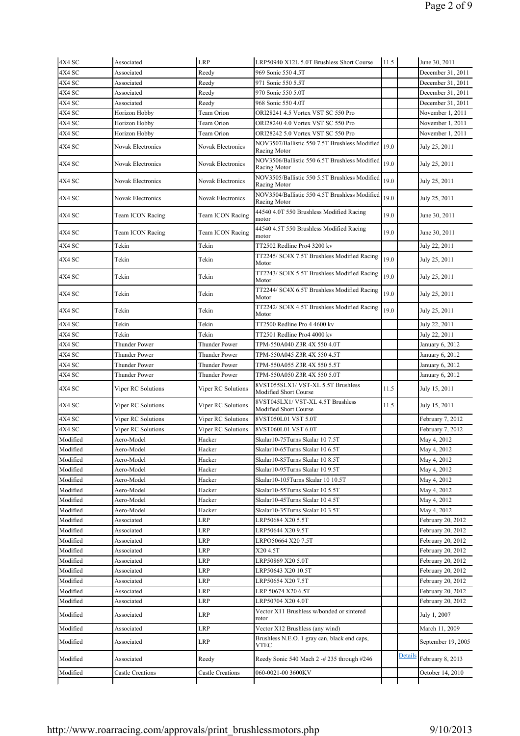| 4X4 SC               | Associated                            | LRP                              | LRP50940 X12L 5.0T Brushless Short Course                        | 11.5 |         | June 30, 2011      |
|----------------------|---------------------------------------|----------------------------------|------------------------------------------------------------------|------|---------|--------------------|
| 4X4 SC               | Associated                            | Reedy                            | 969 Sonic 550 4.5T                                               |      |         | December 31, 2011  |
| 4X4 SC               | Associated                            | Reedy                            | 971 Sonic 550 5.5T                                               |      |         | December 31, 2011  |
| 4X4 SC               | Associated                            | Reedy                            | 970 Sonic 550 5.0T                                               |      |         | December 31, 2011  |
| 4X4 SC               | Associated                            | Reedy                            | 968 Sonic 550 4.0T                                               |      |         | December 31, 2011  |
| 4X4 SC               | Horizon Hobby                         | Team Orion                       | ORI28241 4.5 Vortex VST SC 550 Pro                               |      |         | November 1, 2011   |
| 4X4 SC               | Horizon Hobby                         | Team Orion                       | ORI28240 4.0 Vortex VST SC 550 Pro                               |      |         | November 1, 2011   |
| 4X4 SC               | Horizon Hobby                         | Team Orion                       | ORI28242 5.0 Vortex VST SC 550 Pro                               |      |         | November 1, 2011   |
| 4X4 SC               | Novak Electronics                     | Novak Electronics                | NOV3507/Ballistic 550 7.5T Brushless Modified<br>Racing Motor    | 19.0 |         | July 25, 2011      |
| 4X4 SC               | Novak Electronics                     | <b>Novak Electronics</b>         | NOV3506/Ballistic 550 6.5T Brushless Modified<br>Racing Motor    | 19.0 |         | July 25, 2011      |
| 4X4 SC               | Novak Electronics                     | Novak Electronics                | NOV3505/Ballistic 550 5.5T Brushless Modified<br>Racing Motor    | 19.0 |         | July 25, 2011      |
| 4X4 SC               | Novak Electronics                     | Novak Electronics                | NOV3504/Ballistic 550 4.5T Brushless Modified<br>Racing Motor    | 19.0 |         | July 25, 2011      |
| 4X4 SC               | Team ICON Racing                      | Team ICON Racing                 | 44540 4.0T 550 Brushless Modified Racing<br>motor                | 19.0 |         | June 30, 2011      |
| 4X4 SC               | Team ICON Racing                      | Team ICON Racing                 | 44540 4.5T 550 Brushless Modified Racing<br>motor                | 19.0 |         | June 30, 2011      |
| 4X4 SC               | Tekin                                 | Tekin                            | TT2502 Redline Pro4 3200 kv                                      |      |         | July 22, 2011      |
| 4X4 SC               | Tekin                                 | Tekin                            | TT2245/ SC4X 7.5T Brushless Modified Racing<br>Motor             | 19.0 |         | July 25, 2011      |
| 4X4 SC               | Tekin                                 | Tekin                            | TT2243/ SC4X 5.5T Brushless Modified Racing<br>Motor             | 19.0 |         | July 25, 2011      |
| 4X4 SC               | Tekin                                 | Tekin                            | TT2244/ SC4X 6.5T Brushless Modified Racing<br>Motor             | 19.0 |         | July 25, 2011      |
| 4X4 SC               | Tekin                                 | Tekin                            | TT2242/ SC4X 4.5T Brushless Modified Racing<br>Motor             | 19.0 |         | July 25, 2011      |
| 4X4 SC               | Tekin                                 | Tekin                            | TT2500 Redline Pro 4 4600 kv                                     |      |         | July 22, 2011      |
| 4X4 SC               | Tekin                                 | Tekin                            | TT2501 Redline Pro4 4000 kv                                      |      |         | July 22, 2011      |
| 4X4 SC               | Thunder Power                         | Thunder Power                    | TPM-550A040 Z3R 4X 550 4.0T                                      |      |         | January 6, 2012    |
| 4X4 SC               | Thunder Power                         | Thunder Power                    | TPM-550A045 Z3R 4X 550 4.5T                                      |      |         | January 6, 2012    |
| 4X4 SC               | Thunder Power                         | Thunder Power                    | TPM-550A055 Z3R 4X 550 5.5T                                      |      |         | January 6, 2012    |
| 4X4 SC               | Thunder Power                         | Thunder Power                    | TPM-550A050 Z3R 4X 550 5.0T                                      |      |         | January 6, 2012    |
| 4X4 SC               | Viper RC Solutions                    | Viper RC Solutions               | 8VST055SLX1/ VST-XL 5.5T Brushless<br>Modified Short Course      | 11.5 |         | July 15, 2011      |
| 4X4 SC               | Viper RC Solutions                    | Viper RC Solutions               | 8VST045LX1/ VST-XL 4.5T Brushless<br>Modified Short Course       | 11.5 |         | July 15, 2011      |
| 4X4 SC               | Viper RC Solutions                    | Viper RC Solutions               | 8VST050L01 VST 5.0T                                              |      |         | February 7, 2012   |
| 4X4 SC               | Viper RC Solutions                    | Viper RC Solutions               | 8VST060L01 VST 6.0T                                              |      |         | February 7, 2012   |
| Modified             | Aero-Model                            | Hacker                           | Skalar10-75Turns Skalar 10 7.5T                                  |      |         | May 4, 2012        |
| Modified             | Aero-Model                            | Hacker                           | Skalar10-65Turns Skalar 10 6.5T                                  |      |         | May 4, 2012        |
| Modified             | Aero-Model                            | Hacker                           | Skalar10-85Turns Skalar 10 8.5T                                  |      |         | May 4, 2012        |
| Modified             | Aero-Model                            | Hacker                           | Skalar10-95Turns Skalar 10 9.5T                                  |      |         | May 4, 2012        |
| Modified             | Aero-Model                            | Hacker                           | Skalar10-105Turns Skalar 10 10.5T                                |      |         | May 4, 2012        |
| Modified             | Aero-Model                            | Hacker                           | Skalar10-55Turns Skalar 10 5.5T                                  |      |         | May 4, 2012        |
| Modified             | Aero-Model                            | Hacker                           | Skalar10-45Turns Skalar 10 4.5T                                  |      |         | May 4, 2012        |
| Modified             | Aero-Model                            | Hacker                           | Skalar10-35Turns Skalar 10 3.5T                                  |      |         | May 4, 2012        |
| Modified             | Associated                            | LRP                              | LRP50684 X20 5.5T                                                |      |         | February 20, 2012  |
| Modified             | Associated                            | LRP                              | LRP50644 X20 9.5T                                                |      |         | February 20, 2012  |
| Modified             | Associated                            | LRP                              | LRPO50664 X20 7.5T                                               |      |         | February 20, 2012  |
| Modified             | Associated                            | <b>LRP</b>                       | X20 4.5T                                                         |      |         | February 20, 2012  |
| Modified             | Associated                            | LRP                              | LRP50869 X20 5.0T                                                |      |         | February 20, 2012  |
| Modified             | Associated                            | LRP                              | LRP50643 X20 10.5T                                               |      |         | February 20, 2012  |
| Modified             | Associated                            | LRP                              | LRP50654 X20 7.5T                                                |      |         | February 20, 2012  |
| Modified             | Associated                            | LRP                              | LRP 50674 X20 6.5T                                               |      |         | February 20, 2012  |
| Modified             | Associated                            | LRP                              | LRP50704 X20 4.0T                                                |      |         | February 20, 2012  |
| Modified             | Associated                            | LRP                              | Vector X11 Brushless w/bonded or sintered<br>rotor               |      |         | July 1, 2007       |
|                      |                                       |                                  | Vector X12 Brushless (any wind)                                  |      |         |                    |
| Modified             | Associated                            | LRP                              |                                                                  |      |         | March 11, 2009     |
| Modified             | Associated                            | LRP                              | Brushless N.E.O. 1 gray can, black end caps,<br>VTEC             |      |         | September 19, 2005 |
| Modified<br>Modified | Associated<br><b>Castle Creations</b> | Reedy<br><b>Castle Creations</b> | Reedy Sonic 540 Mach 2 -# 235 through #246<br>060-0021-00 3600KV |      | Details | February 8, 2013   |
|                      |                                       |                                  |                                                                  |      |         | October 14, 2010   |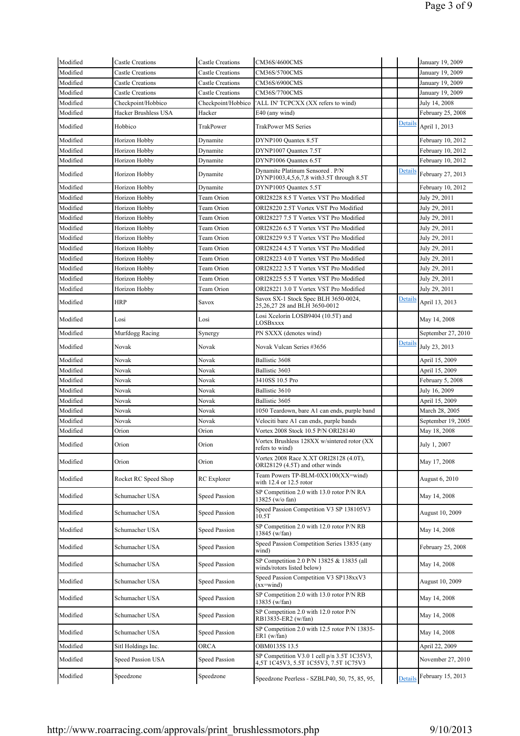| <b>Castle Creations</b><br><b>Castle Creations</b><br><b>Castle Creations</b><br>Checkpoint/Hobbico<br>Hacker Brushless USA<br>Horizon Hobby<br>Horizon Hobby<br>Horizon Hobby<br>Horizon Hobby<br>Horizon Hobby | <b>Castle Creations</b><br><b>Castle Creations</b><br><b>Castle Creations</b><br>Checkpoint/Hobbico<br>Hacker<br>TrakPower<br>Dynamite<br>Dynamite<br>Dynamite | CM36S/5700CMS<br>CM36S/6900CMS<br>CM36S/7700CMS<br>'ALL IN' TCPCXX (XX refers to wind)<br>E40 (any wind)<br>TrakPower MS Series<br>DYNP100 Quantex 8.5T | Details        | January 19, 2009<br>January 19, 2009<br>January 19, 2009<br>July 14, 2008<br>February 25, 2008 |
|------------------------------------------------------------------------------------------------------------------------------------------------------------------------------------------------------------------|----------------------------------------------------------------------------------------------------------------------------------------------------------------|---------------------------------------------------------------------------------------------------------------------------------------------------------|----------------|------------------------------------------------------------------------------------------------|
|                                                                                                                                                                                                                  |                                                                                                                                                                |                                                                                                                                                         |                |                                                                                                |
|                                                                                                                                                                                                                  |                                                                                                                                                                |                                                                                                                                                         |                |                                                                                                |
|                                                                                                                                                                                                                  |                                                                                                                                                                |                                                                                                                                                         |                |                                                                                                |
|                                                                                                                                                                                                                  |                                                                                                                                                                |                                                                                                                                                         |                |                                                                                                |
|                                                                                                                                                                                                                  |                                                                                                                                                                |                                                                                                                                                         |                |                                                                                                |
|                                                                                                                                                                                                                  |                                                                                                                                                                |                                                                                                                                                         |                | April 1, 2013                                                                                  |
|                                                                                                                                                                                                                  |                                                                                                                                                                |                                                                                                                                                         |                | February 10, 2012                                                                              |
|                                                                                                                                                                                                                  |                                                                                                                                                                | DYNP1007 Quantex 7.5T                                                                                                                                   |                | February 10, 2012                                                                              |
|                                                                                                                                                                                                                  |                                                                                                                                                                | DYNP1006 Quantex 6.5T                                                                                                                                   |                | February 10, 2012                                                                              |
|                                                                                                                                                                                                                  | Dynamite                                                                                                                                                       | Dynamite Platinum Sensored . P/N<br>DYNP1003,4,5,6,7,8 with3.5T through 8.5T                                                                            | Detail:        | February 27, 2013                                                                              |
|                                                                                                                                                                                                                  | Dynamite                                                                                                                                                       | DYNP1005 Quantex 5.5T                                                                                                                                   |                | February 10, 2012                                                                              |
| Horizon Hobby                                                                                                                                                                                                    | Team Orion                                                                                                                                                     | ORI28228 8.5 T Vortex VST Pro Modified                                                                                                                  |                | July 29, 2011                                                                                  |
| Horizon Hobby                                                                                                                                                                                                    | Team Orion                                                                                                                                                     | ORI28220 2.5T Vortex VST Pro Modified                                                                                                                   |                | July 29, 2011                                                                                  |
| Horizon Hobby                                                                                                                                                                                                    | Team Orion                                                                                                                                                     | ORI28227 7.5 T Vortex VST Pro Modified                                                                                                                  |                | July 29, 2011                                                                                  |
| Horizon Hobby                                                                                                                                                                                                    | Team Orion                                                                                                                                                     | ORI28226 6.5 T Vortex VST Pro Modified                                                                                                                  |                | July 29, 2011                                                                                  |
| Horizon Hobby                                                                                                                                                                                                    | Team Orion                                                                                                                                                     | ORI28229 9.5 T Vortex VST Pro Modified                                                                                                                  |                | July 29, 2011                                                                                  |
| Horizon Hobby                                                                                                                                                                                                    | Team Orion                                                                                                                                                     | ORI28224 4.5 T Vortex VST Pro Modified                                                                                                                  |                | July 29, 2011                                                                                  |
| Horizon Hobby                                                                                                                                                                                                    | Team Orion                                                                                                                                                     | ORI28223 4.0 T Vortex VST Pro Modified                                                                                                                  |                | July 29, 2011                                                                                  |
| Horizon Hobby                                                                                                                                                                                                    | Team Orion                                                                                                                                                     | ORI28222 3.5 T Vortex VST Pro Modified                                                                                                                  |                | July 29, 2011                                                                                  |
| Horizon Hobby                                                                                                                                                                                                    | Team Orion                                                                                                                                                     | ORI28225 5.5 T Vortex VST Pro Modified                                                                                                                  |                | July 29, 2011                                                                                  |
| Horizon Hobby                                                                                                                                                                                                    | Team Orion                                                                                                                                                     | ORI28221 3.0 T Vortex VST Pro Modified                                                                                                                  |                | July 29, 2011                                                                                  |
|                                                                                                                                                                                                                  | Savox                                                                                                                                                          | Savox SX-1 Stock Spec BLH 3650-0024,<br>25,26,27 28 and BLH 3650-0012                                                                                   | Details        | April 13, 2013                                                                                 |
|                                                                                                                                                                                                                  | Losi                                                                                                                                                           | Losi Xcelorin LOSB9404 (10.5T) and<br>LOSBxxxx                                                                                                          |                | May 14, 2008                                                                                   |
| Murfdogg Racing                                                                                                                                                                                                  | Synergy                                                                                                                                                        | PN SXXX (denotes wind)                                                                                                                                  |                | September 27, 2010                                                                             |
|                                                                                                                                                                                                                  | Novak                                                                                                                                                          | Novak Vulcan Series #3656                                                                                                                               | <b>Details</b> | July 23, 2013                                                                                  |
|                                                                                                                                                                                                                  | Novak                                                                                                                                                          | Ballistic 3608                                                                                                                                          |                | April 15, 2009                                                                                 |
|                                                                                                                                                                                                                  | Novak                                                                                                                                                          | Ballistic 3603                                                                                                                                          |                | April 15, 2009                                                                                 |
|                                                                                                                                                                                                                  | Novak                                                                                                                                                          | 3410SS 10.5 Pro                                                                                                                                         |                | February 5, 2008                                                                               |
|                                                                                                                                                                                                                  | Novak                                                                                                                                                          | Ballistic 3610                                                                                                                                          |                | July 16, 2009                                                                                  |
|                                                                                                                                                                                                                  | Novak                                                                                                                                                          | Ballistic 3605                                                                                                                                          |                | April 15, 2009                                                                                 |
|                                                                                                                                                                                                                  | Novak                                                                                                                                                          | 1050 Teardown, bare A1 can ends, purple band                                                                                                            |                | March 28, 2005                                                                                 |
|                                                                                                                                                                                                                  | Novak                                                                                                                                                          | Velociti bare A1 can ends, purple bands                                                                                                                 |                | September 19, 2005                                                                             |
|                                                                                                                                                                                                                  | Orion                                                                                                                                                          | Vortex 2008 Stock 10.5 P/N ORI28140                                                                                                                     |                | May 18, 2008                                                                                   |
|                                                                                                                                                                                                                  | Orion                                                                                                                                                          | Vortex Brushless 128XX w/sintered rotor (XX<br>refers to wind)                                                                                          |                | July 1, 2007                                                                                   |
|                                                                                                                                                                                                                  | Orion                                                                                                                                                          | Vortex 2008 Race X.XT ORI28128 (4.0T),<br>ORI28129 (4.5T) and other winds                                                                               |                | May 17, 2008                                                                                   |
| Rocket RC Speed Shop                                                                                                                                                                                             | RC Explorer                                                                                                                                                    | Team Powers TP-BLM-0XX100(XX=wind)<br>with 12.4 or 12.5 rotor                                                                                           |                | August 6, 2010                                                                                 |
| Schumacher USA                                                                                                                                                                                                   | Speed Passion                                                                                                                                                  | SP Competition 2.0 with 13.0 rotor P/N RA<br>13825 (w/o fan)                                                                                            |                | May 14, 2008                                                                                   |
| Schumacher USA                                                                                                                                                                                                   | <b>Speed Passion</b>                                                                                                                                           | Speed Passion Competition V3 SP 138105V3<br>10.5T                                                                                                       |                | August 10, 2009                                                                                |
| Schumacher USA                                                                                                                                                                                                   | <b>Speed Passion</b>                                                                                                                                           | SP Competition 2.0 with 12.0 rotor P/N RB<br>13845 (w/fan)                                                                                              |                | May 14, 2008                                                                                   |
| Schumacher USA                                                                                                                                                                                                   | <b>Speed Passion</b>                                                                                                                                           | Speed Passion Competition Series 13835 (any<br>wind)                                                                                                    |                | February 25, 2008                                                                              |
| Schumacher USA                                                                                                                                                                                                   | <b>Speed Passion</b>                                                                                                                                           | SP Competition 2.0 P/N 13825 & 13835 (all<br>winds/rotors listed below)                                                                                 |                | May 14, 2008                                                                                   |
| Schumacher USA                                                                                                                                                                                                   | <b>Speed Passion</b>                                                                                                                                           | Speed Passion Competition V3 SP138xxV3<br>$(xx=wind)$                                                                                                   |                | August 10, 2009                                                                                |
| Schumacher USA                                                                                                                                                                                                   | <b>Speed Passion</b>                                                                                                                                           | SP Competition 2.0 with 13.0 rotor P/N RB<br>13835 (w/fan)                                                                                              |                | May 14, 2008                                                                                   |
| Schumacher USA                                                                                                                                                                                                   | <b>Speed Passion</b>                                                                                                                                           | SP Competition 2.0 with 12.0 rotor P/N<br>RB13835-ER2 (w/fan)                                                                                           |                | May 14, 2008                                                                                   |
| Schumacher USA                                                                                                                                                                                                   | <b>Speed Passion</b>                                                                                                                                           | SP Competition 2.0 with 12.5 rotor P/N 13835-<br>ER1 (w/fan)                                                                                            |                | May 14, 2008                                                                                   |
|                                                                                                                                                                                                                  | ORCA                                                                                                                                                           | OBM0135S 13.5                                                                                                                                           |                | April 22, 2009                                                                                 |
| Sitl Holdings Inc.                                                                                                                                                                                               | <b>Speed Passion</b>                                                                                                                                           | SP Competition V3.0 1 cell p/n 3.5T 1C35V3,<br>4,5T 1C45V3, 5.5T 1C55V3, 7.5T 1C75V3                                                                    |                | November 27, 2010                                                                              |
|                                                                                                                                                                                                                  | Speed Passion USA                                                                                                                                              |                                                                                                                                                         |                | Speedzone                                                                                      |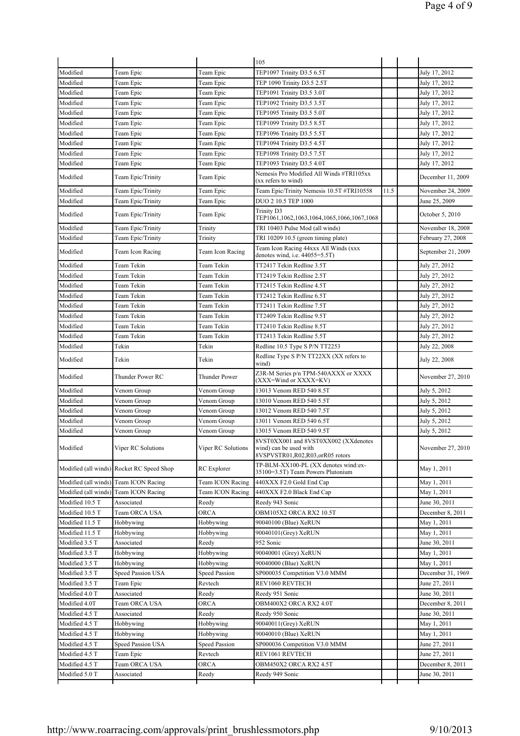|                      |                                           |                      | 105                                                                                               |      |                    |
|----------------------|-------------------------------------------|----------------------|---------------------------------------------------------------------------------------------------|------|--------------------|
| Modified             | Team Epic                                 | Team Epic            | TEP1097 Trinity D3.5 6.5T                                                                         |      | July 17, 2012      |
| Modified             | Team Epic                                 | Team Epic            | TEP 1090 Trinity D3.5 2.5T                                                                        |      | July 17, 2012      |
| Modified             | Team Epic                                 | Team Epic            | TEP1091 Trinity D3.5 3.0T                                                                         |      | July 17, 2012      |
| Modified             | Team Epic                                 | Team Epic            | TEP1092 Trinity D3.5 3.5T                                                                         |      | July 17, 2012      |
| Modified             | Team Epic                                 | Team Epic            | TEP1095 Trinity D3.5 5.0T                                                                         |      | July 17, 2012      |
| Modified             | Team Epic                                 | Team Epic            | TEP1099 Trinity D3.5 8.5T                                                                         |      | July 17, 2012      |
| Modified             | Team Epic                                 | Team Epic            | TEP1096 Trinity D3.5 5.5T                                                                         |      | July 17, 2012      |
| Modified             | Team Epic                                 | Team Epic            | TEP1094 Trinity D3.5 4.5T                                                                         |      | July 17, 2012      |
| Modified             | Team Epic                                 | Team Epic            | TEP1098 Trinity D3.5 7.5T                                                                         |      | July 17, 2012      |
| Modified             | Team Epic                                 | Team Epic            | TEP1093 Trinity D3.5 4.0T                                                                         |      | July 17, 2012      |
| Modified             | Team Epic/Trinity                         | Team Epic            | Nemesis Pro Modified All Winds #TRI105xx<br>(xx refers to wind)                                   |      | December 11, 2009  |
| Modified             | Team Epic/Trinity                         | Team Epic            | Team Epic/Trinity Nemesis 10.5T #TRI10558                                                         | 11.5 | November 24, 2009  |
| Modified             | Team Epic/Trinity                         | Team Epic            | DUO 2 10.5 TEP 1000                                                                               |      | June 25, 2009      |
| Modified             | Team Epic/Trinity                         | Team Epic            | Trinity D3<br>TEP1061,1062,1063,1064,1065,1066,1067,1068                                          |      | October 5, 2010    |
| Modified             | Team Epic/Trinity                         | Trinity              | TRI 10403 Pulse Mod (all winds)                                                                   |      | November 18, 2008  |
| Modified             | Team Epic/Trinity                         | Trinity              | TRI 10209 10.5 (green timing plate)                                                               |      | February 27, 2008  |
| Modified             | Team Icon Racing                          | Team Icon Racing     | Team Icon Racing 44xxx All Winds (xxx<br>denotes wind, i.e. $44055=5.5T$ )                        |      | September 21, 2009 |
| Modified             | Team Tekin                                | Team Tekin           | TT2417 Tekin Redline 3.5T                                                                         |      | July 27, 2012      |
| Modified             | Team Tekin                                | Team Tekin           | TT2419 Tekin Redline 2.5T                                                                         |      | July 27, 2012      |
| Modified             | Team Tekin                                | Team Tekin           | TT2415 Tekin Redline 4.5T                                                                         |      | July 27, 2012      |
| Modified             | Team Tekin                                | Team Tekin           | TT2412 Tekin Redline 6.5T                                                                         |      | July 27, 2012      |
| Modified             | Team Tekin                                | Team Tekin           | TT2411 Tekin Redline 7.5T                                                                         |      | July 27, 2012      |
| Modified             | Team Tekin                                | Team Tekin           | TT2409 Tekin Redline 9.5T                                                                         |      | July 27, 2012      |
| Modified             | Team Tekin                                | Team Tekin           | TT2410 Tekin Redline 8.5T                                                                         |      | July 27, 2012      |
| Modified             | Team Tekin                                | Team Tekin           | TT2413 Tekin Redline 5.5T                                                                         |      | July 27, 2012      |
| Modified             | Tekin                                     | Tekin                | Redline 10.5 Type S P/N TT2253                                                                    |      | July 22, 2008      |
| Modified             | Tekin                                     | Tekin                | Redline Type S P/N TT22XX (XX refers to<br>wind)                                                  |      | July 22, 2008      |
| Modified             | Thunder Power RC                          | <b>Thunder Power</b> | Z3R-M Series p/n TPM-540AXXX or XXXX<br>(XXX=Wind or XXXX=KV)                                     |      | November 27, 2010  |
| Modified             | Venom Group                               | Venom Group          | 13013 Venom RED 540 8.5T                                                                          |      | July 5, 2012       |
| Modified             | Venom Group                               | Venom Group          | 13010 Venom RED 540 5.5T                                                                          |      | July 5, 2012       |
| Modified             | Venom Group                               | Venom Group          | 13012 Venom RED 540 7.5T                                                                          |      | July 5, 2012       |
| Modified             | Venom Group                               | Venom Group          | 13011 Venom RED 540 6.5T                                                                          |      | July 5, 2012       |
| Modified             | Venom Group                               | Venom Group          | 13015 Venom RED 540 9.5T                                                                          |      | July 5, 2012       |
| Modified             | Viper RC Solutions                        | Viper RC Solutions   | 8VST0XX001 and 8VST0XX002 (XXdenotes<br>wind) can be used with<br>8VSPVSTR01,R02,R03,orR05 rotors |      | November 27, 2010  |
|                      | Modified (all winds) Rocket RC Speed Shop | RC Explorer          | TP-BLM-XX100-PL (XX denotes wind:ex-<br>35100=3.5T) Team Powers Plutonium                         |      | May 1, 2011        |
| Modified (all winds) | Team ICON Racing                          | Team ICON Racing     | 440XXX F2.0 Gold End Cap                                                                          |      | May 1, 2011        |
| Modified (all winds) | Team ICON Racing                          | Team ICON Racing     | 440XXX F2.0 Black End Cap                                                                         |      | May 1, 2011        |
| Modified 10.5 T      | Associated                                | Reedy                | Reedy 943 Sonic                                                                                   |      | June 30, 2011      |
| Modified 10.5 T      | Team ORCA USA                             | ORCA                 | OBM105X2 ORCA RX2 10.5T                                                                           |      | December 8, 2011   |
| Modified 11.5 T      | Hobbywing                                 | Hobbywing            | 90040100 (Blue) XeRUN                                                                             |      | May 1, 2011        |
| Modified 11.5 T      | Hobbywing                                 | Hobbywing            | 90040101(Grey) XeRUN                                                                              |      | May 1, 2011        |
| Modified 3.5 T       | Associated                                | Reedy                | 952 Sonic                                                                                         |      | June 30, 2011      |
| Modified 3.5 T       | Hobbywing                                 | Hobbywing            | 90040001 (Grey) XeRUN                                                                             |      | May 1, 2011        |
| Modified 3.5 T       | Hobbywing                                 | Hobbywing            | 90040000 (Blue) XeRUN                                                                             |      | May 1, 2011        |
| Modified 3.5 T       | Speed Passion USA                         | <b>Speed Passion</b> | SP000035 Competition V3.0 MMM                                                                     |      | December 31, 1969  |
| Modified 3.5 T       | Team Epic                                 | Revtech              | REV1060 REVTECH                                                                                   |      | June 27, 2011      |
| Modified 4.0 T       | Associated                                | Reedy                | Reedy 951 Sonic                                                                                   |      | June 30, 2011      |
| Modified 4.0T        | Team ORCA USA                             | ORCA                 | OBM400X2 ORCA RX2 4.0T                                                                            |      | December 8, 2011   |
| Modified 4.5 T       | Associated                                | Reedy                | Reedy 950 Sonic                                                                                   |      | June 30, 2011      |
| Modified 4.5 T       | Hobbywing                                 | Hobbywing            | 90040011(Grey) XeRUN                                                                              |      | May 1, 2011        |
| Modified 4.5 T       | Hobbywing                                 | Hobbywing            | 90040010 (Blue) XeRUN                                                                             |      | May 1, 2011        |
| Modified 4.5 T       | Speed Passion USA                         | <b>Speed Passion</b> | SP000036 Competition V3.0 MMM                                                                     |      | June 27, 2011      |
| Modified 4.5 T       | Team Epic                                 | Revtech              | REV1061 REVTECH                                                                                   |      | June 27, 2011      |
|                      |                                           |                      |                                                                                                   |      |                    |

Modified 4.5 T Team ORCA USA ORCA OBM450X2 ORCA RX2 4.5T December 8, 2011 Modified 5.0 T Associated Reedy Reedy 949 Sonic June 30, 2011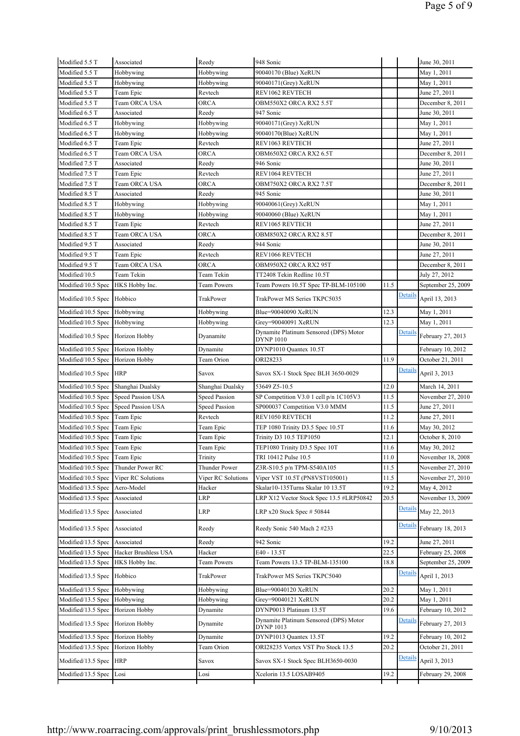| Modified 5.5 T                           | Associated                     | Reedy                | 948 Sonic                                                                |          |         | June 30, 2011                          |
|------------------------------------------|--------------------------------|----------------------|--------------------------------------------------------------------------|----------|---------|----------------------------------------|
| Modified 5.5 T                           | Hobbywing                      | Hobbywing            | 90040170 (Blue) XeRUN                                                    |          |         | May 1, 2011                            |
| Modified 5.5 T                           | Hobbywing                      | Hobbywing            | 90040171(Grey) XeRUN                                                     |          |         | May 1, 2011                            |
| Modified 5.5 T                           | Team Epic                      | Revtech              | REV1062 REVTECH                                                          |          |         | June 27, 2011                          |
| Modified 5.5 T                           | Team ORCA USA                  | ORCA                 | OBM550X2 ORCA RX2 5.5T                                                   |          |         | December 8, 2011                       |
| Modified 6.5 T                           | Associated                     | Reedy                | 947 Sonic                                                                |          |         | June 30, 2011                          |
| Modified 6.5 T                           | Hobbywing                      | Hobbywing            | 90040171(Grey) XeRUN                                                     |          |         | May 1, 2011                            |
| Modified 6.5 T                           | Hobbywing                      | Hobbywing            | 90040170(Blue) XeRUN                                                     |          |         | May 1, 2011                            |
| Modified 6.5 T                           | Team Epic                      | Revtech              | REV1063 REVTECH                                                          |          |         | June 27, 2011                          |
| Modified 6.5 T                           | Team ORCA USA                  | <b>ORCA</b>          | OBM650X2 ORCA RX2 6.5T                                                   |          |         | December 8, 2011                       |
| Modified 7.5 T                           | Associated                     | Reedy                | 946 Sonic                                                                |          |         | June 30, 2011                          |
| Modified 7.5 T                           | Team Epic                      | Revtech              | REV1064 REVTECH                                                          |          |         | June 27, 2011                          |
| Modified 7.5 T                           | Team ORCA USA                  | <b>ORCA</b>          | OBM750X2 ORCA RX2 7.5T                                                   |          |         | December 8, 2011                       |
| Modified 8.5 T                           | Associated                     | Reedy                | 945 Sonic                                                                |          |         | June 30, 2011                          |
| Modified 8.5 T                           | Hobbywing                      | Hobbywing            | 90040061(Grey) XeRUN                                                     |          |         | May 1, 2011                            |
| Modified 8.5 T                           | Hobbywing                      | Hobbywing            | 90040060 (Blue) XeRUN                                                    |          |         | May 1, 2011                            |
| Modified 8.5 T                           | Team Epic                      | Revtech              | REV1065 REVTECH                                                          |          |         | June 27, 2011                          |
| Modified 8.5 T                           | <b>Team ORCA USA</b>           | <b>ORCA</b>          | OBM850X2 ORCA RX2 8.5T                                                   |          |         | December 8, 2011                       |
| Modified 9.5 T                           | Associated                     | Reedy                | 944 Sonic                                                                |          |         | June 30, 2011                          |
| Modified 9.5 T                           | Team Epic                      | Revtech              | REV1066 REVTECH                                                          |          |         | June 27, 2011                          |
| Modified 9.5 T                           | Team ORCA USA                  | <b>ORCA</b>          | OBM950X2 ORCA RX2 95T                                                    |          |         | December 8, 2011                       |
| Modified/10.5                            | Team Tekin                     | Team Tekin           | TT2408 Tekin Redline 10.5T                                               |          |         | July 27, 2012                          |
| Modified/10.5 Spec HKS Hobby Inc.        |                                | Team Powers          | Team Powers 10.5T Spec TP-BLM-105100                                     | 11.5     |         | September 25, 2009                     |
| Modified/10.5 Spec                       | Hobbico                        | TrakPower            | TrakPower MS Series TKPC5035                                             |          | Details | April 13, 2013                         |
|                                          |                                |                      |                                                                          | 12.3     |         |                                        |
| Modified/10.5 Spec Hobbywing             |                                | Hobbywing            | Blue=90040090 XeRUN                                                      |          |         | May 1, 2011                            |
| Modified/10.5 Spec Hobbywing             |                                | Hobbywing            | Grey=90040091 XeRUN<br>Dynamite Platinum Sensored (DPS) Motor            | 12.3     | Details | May 1, 2011                            |
| Modified/10.5 Spec Horizon Hobby         |                                | Dyanamite            | <b>DYNP 1010</b>                                                         |          |         | February 27, 2013                      |
| Modified/10.5 Spec                       | Horizon Hobby                  | Dynamite             | DYNP1010 Quantex 10.5T                                                   |          |         | February 10, 2012                      |
| Modified/10.5 Spec                       | Horizon Hobby                  | Team Orion           | ORI28233                                                                 | 11.9     |         | October 21, 2011                       |
| Modified/10.5 Spec                       | HRP                            | Savox                | Savox SX-1 Stock Spec BLH 3650-0029                                      |          | Details | April 3, 2013                          |
| Modified/10.5 Spec                       | Shanghai Dualsky               | Shanghai Dualsky     | 53649 Z5-10.5                                                            | 12.0     |         | March 14, 2011                         |
| Modified/10.5 Spec                       | Speed Passion USA              | <b>Speed Passion</b> | SP Competition V3.0 1 cell p/n 1C105V3                                   | 11.5     |         | November 27, 2010                      |
| Modified/10.5 Spec                       | Speed Passion USA              | <b>Speed Passion</b> | SP000037 Competition V3.0 MMM                                            | 11.5     |         | June 27, 2011                          |
| Modified/10.5 Spec Team Epic             |                                | Revtech              | REV1050 REVTECH                                                          | 11.2     |         | June 27, 2011                          |
| Modified/10.5 Spec Team Epic             |                                | Team Epic            | TEP 1080 Trinity D3.5 Spec 10.5T                                         | 11.6     |         | May 30, 2012                           |
| Modified/10.5 Spec Team Epic             |                                | Team Epic            | Trinity D3 10.5 TEP1050                                                  | 12.1     |         | October 8, 2010                        |
| Modified/10.5 Spec Team Epic             |                                | Team Epic            | TEP1080 Trinity D3.5 Spec 10T                                            | $11.6\,$ |         | May 30, 2012                           |
| Modified/10.5 Spec Team Epic             |                                | Trinity              | TRI 10412 Pulse 10.5                                                     | 11.0     |         | November 18, 2008                      |
| Modified/10.5 Spec                       | Thunder Power RC               | Thunder Power        | Z3R-S10.5 p/n TPM-S540A105                                               | 11.5     |         | November 27, 2010                      |
| Modified/10.5 Spec                       | Viper RC Solutions             | Viper RC Solutions   | Viper VST 10.5T (PN8VST105001)                                           | 11.5     |         | November 27, 2010                      |
| Modified/13.5 Spec                       | Aero-Model                     | Hacker               | Skalar10-135Turns Skalar 10 13.5T                                        | 19.2     |         | May 4, 2012                            |
| Modified/13.5 Spec                       | Associated                     | LRP                  | LRP X12 Vector Stock Spec 13.5 #LRP50842                                 | 20.5     |         | November 13, 2009                      |
| Modified/13.5 Spec Associated            |                                | LRP                  | LRP x20 Stock Spec # 50844                                               |          | Details | May 22, 2013                           |
| Modified/13.5 Spec Associated            |                                | Reedy                | Reedy Sonic 540 Mach 2 #233                                              |          | Details | February 18, 2013                      |
| Modified/13.5 Spec                       | Associated                     | Reedy                | 942 Sonic                                                                | 19.2     |         | June 27, 2011                          |
| Modified/13.5 Spec                       | Hacker Brushless USA           | Hacker               | E40 - 13.5T                                                              | 22.5     |         | February 25, 2008                      |
| Modified/13.5 Spec                       | HKS Hobby Inc.                 | Team Powers          | Team Powers 13.5 TP-BLM-135100                                           | 18.8     |         | September 25, 2009                     |
| Modified/13.5 Spec                       | Hobbico                        | TrakPower            | TrakPower MS Series TKPC5040                                             |          | Details | April 1, 2013                          |
|                                          |                                |                      |                                                                          | 20.2     |         |                                        |
| Modified/13.5 Spec                       | Hobbywing                      | Hobbywing            | Blue=90040120 XeRUN                                                      |          |         | May 1, 2011                            |
| Modified/13.5 Spec                       | Hobbywing                      | Hobbywing            | Grey=90040121 XeRUN                                                      | 20.2     |         | May 1, 2011                            |
| Modified/13.5 Spec<br>Modified/13.5 Spec | Horizon Hobby<br>Horizon Hobby | Dynamite<br>Dynamite | DYNP0013 Platinum 13.5T<br>Dynamite Platinum Sensored (DPS) Motor        | 19.6     | Details | February 10, 2012<br>February 27, 2013 |
|                                          |                                |                      | DYNP 1013                                                                |          |         |                                        |
| Modified/13.5 Spec                       | Horizon Hobby                  | Dynamite             | DYNP1013 Quantex 13.5T                                                   | 19.2     |         | February 10, 2012                      |
| Modified/13.5 Spec<br>Modified/13.5 Spec | Horizon Hobby<br><b>HRP</b>    | Team Orion<br>Savox  | ORI28235 Vortex VST Pro Stock 13.5<br>Savox SX-1 Stock Spec BLH3650-0030 | 20.2     | Details | October 21, 2011<br>April 3, 2013      |
|                                          |                                |                      |                                                                          |          |         |                                        |
| Modified/13.5 Spec Losi                  |                                | Losi                 | Xcelorin 13.5 LOSAB9405                                                  | 19.2     |         | February 29, 2008                      |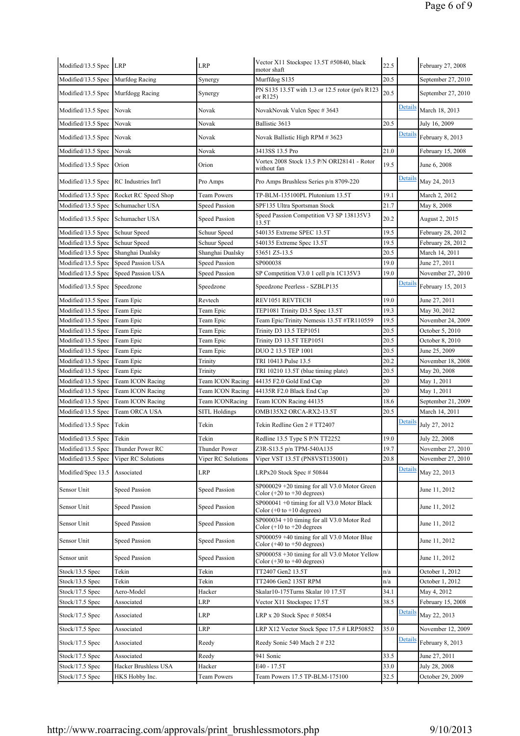| Modified/13.5 Spec LRP                 |                      | LRP                  | Vector X11 Stockspec 13.5T #50840, black<br>motor shaft                                          | 22.5 |                | February 27, 2008  |
|----------------------------------------|----------------------|----------------------|--------------------------------------------------------------------------------------------------|------|----------------|--------------------|
| Modified/13.5 Spec                     | Murfdog Racing       | Synergy              | Murffdog S135                                                                                    | 20.5 |                | September 27, 2010 |
| Modified/13.5 Spec   Murfdogg Racing   |                      | Synergy              | PN S135 13.5T with 1.3 or 12.5 rotor (pn's R123<br>or R125)                                      | 20.5 |                | September 27, 2010 |
| Modified/13.5 Spec Novak               |                      | Novak                | NovakNovak Vulcn Spec #3643                                                                      |      | <b>Details</b> | March 18, 2013     |
| Modified/13.5 Spec                     | Novak                | Novak                | Ballistic 3613                                                                                   | 20.5 |                | July 16, 2009      |
| Modified/13.5 Spec Novak               |                      | Novak                | Novak Ballistic High RPM # 3623                                                                  |      | Details        | February 8, 2013   |
| Modified/13.5 Spec                     | Novak                | Novak                | 3413SS 13.5 Pro                                                                                  | 21.0 |                | February 15, 2008  |
| Modified/13.5 Spec                     | Orion                | Orion                | Vortex 2008 Stock 13.5 P/N ORI28141 - Rotor<br>without fan                                       | 19.5 |                | June 6, 2008       |
| Modified/13.5 Spec RC Industries Int'l |                      | Pro Amps             | Pro Amps Brushless Series p/n 8709-220                                                           |      | <b>Details</b> | May 24, 2013       |
| Modified/13.5 Spec                     | Rocket RC Speed Shop | <b>Team Powers</b>   | TP-BLM-135100PL Plutonium 13.5T                                                                  | 19.1 |                | March 2, 2012      |
| Modified/13.5 Spec                     | Schumacher USA       | Speed Passion        | SPF135 Ultra Sportsman Stock                                                                     | 21.7 |                | May 8, 2008        |
| Modified/13.5 Spec Schumacher USA      |                      | Speed Passion        | Speed Passion Competition V3 SP 138135V3<br>13.5T                                                | 20.2 |                | August 2, 2015     |
| Modified/13.5 Spec                     | Schuur Speed         | Schuur Speed         | 540135 Extreme SPEC 13.5T                                                                        | 19.5 |                | February 28, 2012  |
| Modified/13.5 Spec                     | Schuur Speed         | Schuur Speed         | 540135 Extreme Spec 13.5T                                                                        | 19.5 |                | February 28, 2012  |
| Modified/13.5 Spec                     | Shanghai Dualsky     | Shanghai Dualsky     | 53651 Z5-13.5                                                                                    | 20.5 |                | March 14, 2011     |
| Modified/13.5 Spec                     | Speed Passion USA    | <b>Speed Passion</b> | SP000038                                                                                         | 19.0 |                | June 27, 2011      |
| Modified/13.5 Spec                     | Speed Passion USA    | <b>Speed Passion</b> | SP Competition V3.0 1 cell p/n 1C135V3                                                           | 19.0 |                | November 27, 2010  |
| Modified/13.5 Spec                     | Speedzone            | Speedzone            | Speedzone Peerless - SZBLP135                                                                    |      | Details        | February 15, 2013  |
| Modified/13.5 Spec                     | Team Epic            | Revtech              | REV1051 REVTECH                                                                                  | 19.0 |                | June 27, 2011      |
| Modified/13.5 Spec                     | Team Epic            | Team Epic            | TEP1081 Trinity D3.5 Spec 13.5T                                                                  | 19.3 |                | May 30, 2012       |
| Modified/13.5 Spec                     | Team Epic            | Team Epic            | Team Epic/Trinity Nemesis 13.5T #TR110559                                                        | 19.5 |                | November 24, 2009  |
| Modified/13.5 Spec                     | Team Epic            | Team Epic            | Trinity D3 13.5 TEP1051                                                                          | 20.5 |                | October 5, 2010    |
| Modified/13.5 Spec                     | Team Epic            | Team Epic            | Trinity D3 13.5T TEP1051                                                                         | 20.5 |                | October 8, 2010    |
| Modified/13.5 Spec                     | Team Epic            | Team Epic            | DUO 2 13.5 TEP 1001                                                                              | 20.5 |                | June 25, 2009      |
| Modified/13.5 Spec                     | Team Epic            | Trinity              | TRI 10413 Pulse 13.5                                                                             | 20.2 |                | November 18, 2008  |
| Modified/13.5 Spec                     | Team Epic            | Trinity              | TRI 10210 13.5T (blue timing plate)                                                              | 20.5 |                | May 20, 2008       |
| Modified/13.5 Spec                     | Team ICON Racing     | Team ICON Racing     | 44135 F2.0 Gold End Cap                                                                          | 20   |                | May 1, 2011        |
| Modified/13.5 Spec                     | Team ICON Racing     | Team ICON Racing     | 44135R F2.0 Black End Cap                                                                        | 20   |                | May 1, 2011        |
| Modified/13.5 Spec                     | Team ICON Racing     | Team ICONRacing      | Team ICON Racing 44135                                                                           | 18.6 |                | September 21, 2009 |
| Modified/13.5 Spec                     | Team ORCA USA        | <b>SITL Holdings</b> | OMB135X2 ORCA-RX2-13.5T                                                                          | 20.5 |                | March 14, 2011     |
| Modified/13.5 Spec                     | Tekin                | Tekin                | Tekin Redline Gen 2 # TT2407                                                                     |      | Details        | July 27, 2012      |
| Modified/13.5 Spec Tekin               |                      | Tekin                | Redline 13.5 Type S P/N TT2252                                                                   | 19.0 |                | July 22, 2008      |
| Modified/13.5 Spec Thunder Power RC    |                      | Thunder Power        | Z3R-S13.5 p/n TPM-540A135                                                                        | 19.7 |                | November 27, 2010  |
| Modified/13.5 Spec                     | Viper RC Solutions   | Viper RC Solutions   | Viper VST 13.5T (PN8VST135001)                                                                   | 20.8 |                | November 27, 2010  |
| Modified/Spec 13.5                     | Associated           | LRP                  | LRPx20 Stock Spec # 50844                                                                        |      | <b>Details</b> | May 22, 2013       |
| Sensor Unit                            | <b>Speed Passion</b> | <b>Speed Passion</b> | $SP000029 + 20$ timing for all V3.0 Motor Green<br>Color $(+20 \text{ to } +30 \text{ degrees})$ |      |                | June 11, 2012      |
| Sensor Unit                            | Speed Passion        | <b>Speed Passion</b> | SP000041 +0 timing for all V3.0 Motor Black<br>Color $(+0$ to $+10$ degrees)                     |      |                | June 11, 2012      |
| Sensor Unit                            | <b>Speed Passion</b> | Speed Passion        | SP000034 +10 timing for all V3.0 Motor Red                                                       |      |                | June 11, 2012      |
| Sensor Unit                            | Speed Passion        | <b>Speed Passion</b> | Color $(+10 \text{ to } +20 \text{ degrees})$<br>$SP000059 + 40$ timing for all V3.0 Motor Blue  |      |                | June 11, 2012      |
| Sensor unit                            | <b>Speed Passion</b> | <b>Speed Passion</b> | Color $(+40 \text{ to } +50 \text{ degrees})$<br>SP000058 +30 timing for all V3.0 Motor Yellow   |      |                | June 11, 2012      |
|                                        |                      |                      | Color $(+30 \text{ to } +40 \text{ degrees})$                                                    |      |                |                    |
| Stock/13.5 Spec                        | Tekin                | Tekin                | TT2407 Gen2 13.5T                                                                                | n/a  |                | October 1, 2012    |
| Stock/13.5 Spec                        | Tekin                | Tekin                | TT2406 Gen2 13ST RPM                                                                             | n/a  |                | October 1, 2012    |
| Stock/17.5 Spec                        | Aero-Model           | Hacker               | Skalar10-175Turns Skalar 10 17.5T                                                                | 34.1 |                | May 4, 2012        |
| Stock/17.5 Spec                        | Associated           | LRP                  | Vector X11 Stockspec 17.5T                                                                       | 38.5 |                | February 15, 2008  |
| Stock/17.5 Spec                        | Associated           | LRP                  | LRP x 20 Stock Spec # 50854                                                                      |      | <b>Details</b> | May 22, 2013       |
| Stock/17.5 Spec                        | Associated           | LRP                  | LRP X12 Vector Stock Spec 17.5 # LRP50852                                                        | 35.0 |                | November 12, 2009  |
| Stock/17.5 Spec                        | Associated           | Reedy                | Reedy Sonic 540 Mach 2 # 232                                                                     |      | Details        | February 8, 2013   |
| Stock/17.5 Spec                        | Associated           | Reedy                | 941 Sonic                                                                                        | 33.5 |                | June 27, 2011      |
| Stock/17.5 Spec                        | Hacker Brushless USA | Hacker               | E40 - 17.5T                                                                                      | 33.0 |                | July 28, 2008      |
| Stock/17.5 Spec                        | HKS Hobby Inc.       | Team Powers          | Team Powers 17.5 TP-BLM-175100                                                                   | 32.5 |                | October 29, 2009   |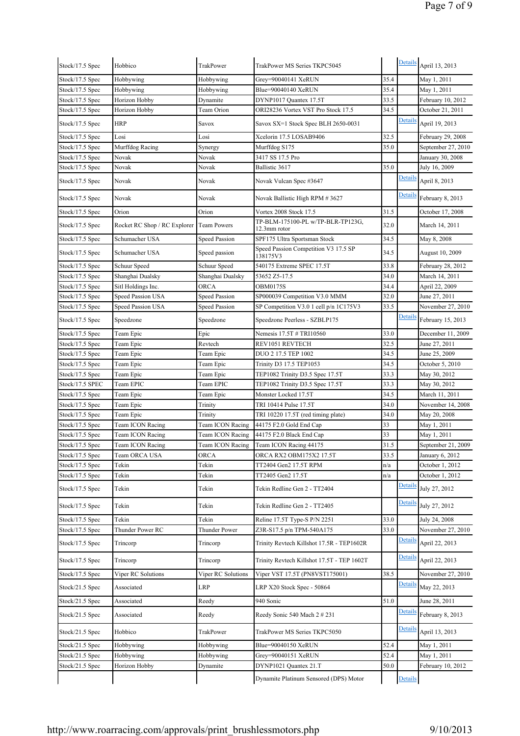| Stock/17.5 Spec | Hobbico                      | TrakPower            | TrakPower MS Series TKPC5045                      |      | Details        | April 13, 2013         |
|-----------------|------------------------------|----------------------|---------------------------------------------------|------|----------------|------------------------|
| Stock/17.5 Spec | Hobbywing                    | Hobbywing            | Grey=90040141 XeRUN                               | 35.4 |                | May 1, 2011            |
| Stock/17.5 Spec | Hobbywing                    | Hobbywing            | Blue=90040140 XeRUN                               | 35.4 |                | May 1, 2011            |
| Stock/17.5 Spec | Horizon Hobby                | Dynamite             | DYNP1017 Quantex 17.5T                            | 33.5 |                | February 10, 2012      |
| Stock/17.5 Spec | Horizon Hobby                | Team Orion           | ORI28236 Vortex VST Pro Stock 17.5                | 34.5 |                | October 21, 2011       |
| Stock/17.5 Spec | HRP                          | Savox                | Savox SX=1 Stock Spec BLH 2650-0031               |      | Details        | April 19, 2013         |
| Stock/17.5 Spec | Losi                         | Losi                 | Xcelorin 17.5 LOSAB9406                           | 32.5 |                | February 29, 2008      |
| Stock/17.5 Spec | Murffdog Racing              | Synergy              | Murffdog S175                                     | 35.0 |                | September 27, 2010     |
| Stock/17.5 Spec | Novak                        | Novak                | 3417 SS 17.5 Pro                                  |      |                | January 30, 2008       |
| Stock/17.5 Spec | Novak                        | Novak                | Ballistic 3617                                    | 35.0 |                | July 16, 2009          |
| Stock/17.5 Spec | Novak                        | Novak                | Novak Vulcan Spec #3647                           |      | Details        | April 8, 2013          |
| Stock/17.5 Spec | Novak                        | Novak                | Novak Ballistic High RPM # 3627                   |      | Details        | February 8, 2013       |
| Stock/17.5 Spec | Orion                        | Orion                | Vortex 2008 Stock 17.5                            | 31.5 |                | October 17, 2008       |
| Stock/17.5 Spec | Rocket RC Shop / RC Explorer | <b>Team Powers</b>   | TP-BLM-175100-PL w/TP-BLR-TP123G,<br>12.3mm rotor | 32.0 |                | March 14, 2011         |
| Stock/17.5 Spec | Schumacher USA               | Speed Passion        | SPF175 Ultra Sportsman Stock                      | 34.5 |                | May 8, 2008            |
| Stock/17.5 Spec | Schumacher USA               | Speed passion        | Speed Passion Competition V3 17.5 SP<br>138175V3  | 34.5 |                | <b>August 10, 2009</b> |
| Stock/17.5 Spec | Schuur Speed                 | Schuur Speed         | 540175 Extreme SPEC 17.5T                         | 33.8 |                | February 28, 2012      |
| Stock/17.5 Spec | Shanghai Dualsky             | Shanghai Dualsky     | 53652 Z5-17.5                                     | 34.0 |                | March 14, 2011         |
| Stock/17.5 Spec | Sitl Holdings Inc.           | ORCA                 | <b>OBM0175S</b>                                   | 34.4 |                | April 22, 2009         |
| Stock/17.5 Spec | Speed Passion USA            | Speed Passion        | SP000039 Competition V3.0 MMM                     | 32.0 |                | June 27, 2011          |
| Stock/17.5 Spec | Speed Passion USA            | <b>Speed Passion</b> | SP Competition V3.0 1 cell p/n 1C175V3            | 33.5 |                | November 27, 2010      |
| Stock/17.5 Spec | Speedzone                    | Speedzone            | Speedzone Peerless - SZBLP175                     |      | Details        | February 15, 2013      |
| Stock/17.5 Spec | Team Epic                    | Epic                 | Nemesis 17.5T # TRI10560                          | 33.0 |                | December 11, 2009      |
| Stock/17.5 Spec | Team Epic                    | Revtech              | REV1051 REVTECH                                   | 32.5 |                | June 27, 2011          |
| Stock/17.5 Spec | Team Epic                    | Team Epic            | DUO 2 17.5 TEP 1002                               | 34.5 |                | June 25, 2009          |
| Stock/17.5 Spec | Team Epic                    | Team Epic            | Trinity D3 17.5 TEP1053                           | 34.5 |                | October 5, 2010        |
| Stock/17.5 Spec | Team Epic                    | Team Epic            | TEP1082 Trinity D3.5 Spec 17.5T                   | 33.3 |                | May 30, 2012           |
| Stock/17.5 SPEC | Team EPIC                    | Team EPIC            | TEP1082 Trinity D3.5 Spec 17.5T                   | 33.3 |                | May 30, 2012           |
| Stock/17.5 Spec | Team Epic                    | Team Epic            | Monster Locked 17.5T                              | 34.5 |                | March 11, 2011         |
| Stock/17.5 Spec | Team Epic                    | Trinity              | TRI 10414 Pulse 17.5T                             | 34.0 |                | November 14, 2008      |
| Stock/17.5 Spec | Team Epic                    | Trinity              | TRI 10220 17.5T (red timing plate)                | 34.0 |                | May 20, 2008           |
| Stock/17.5 Spec | <b>Team ICON Racing</b>      | Team ICON Racing     | 44175 F2.0 Gold End Cap                           | 33   |                | May 1, 2011            |
| Stock/17.5 Spec | Team ICON Racing             | Team ICON Racing     | 44175 F2.0 Black End Cap                          | 33   |                | May 1, 2011            |
| Stock/17.5 Spec | Team ICON Racing             | Team ICON Racing     | Team ICON Racing 44175                            | 31.5 |                | September 21, 2009     |
| Stock/17.5 Spec | Team ORCA USA                | ORCA                 | ORCA RX2 OBM175X2 17.5T                           | 33.5 |                | January 6, 2012        |
| Stock/17.5 Spec | Tekin                        | Tekin                | TT2404 Gen2 17.5T RPM                             | n/a  |                | October 1, 2012        |
| Stock/17.5 Spec | Tekin                        | Tekin                | TT2405 Gen2 17.5T                                 | n/a  |                | October 1, 2012        |
| Stock/17.5 Spec | Tekin                        | Tekin                | Tekin Redline Gen 2 - TT2404                      |      | Details        | July 27, 2012          |
| Stock/17.5 Spec | Tekin                        | Tekin                | Tekin Redline Gen 2 - TT2405                      |      | Details        | July 27, 2012          |
| Stock/17.5 Spec | Tekin                        | Tekin                | Reline 17.5T Type-S P/N 2251                      | 33.0 |                | July 24, 2008          |
| Stock/17.5 Spec | Thunder Power RC             | <b>Thunder Power</b> | Z3R-S17.5 p/n TPM-540A175                         | 33.0 |                | November 27, 2010      |
| Stock/17.5 Spec | Trincorp                     | Trincorp             | Trinity Revtech Killshot 17.5R - TEP1602R         |      | Details        | April 22, 2013         |
| Stock/17.5 Spec | Trincorp                     | Trincorp             | Trinity Revtech Killshot 17.5T - TEP 1602T        |      | Details        | April 22, 2013         |
| Stock/17.5 Spec | Viper RC Solutions           | Viper RC Solutions   | Viper VST 17.5T (PN8VST175001)                    | 38.5 |                | November 27, 2010      |
|                 |                              |                      |                                                   |      | Details        |                        |
| Stock/21.5 Spec | Associated                   | LRP                  | LRP X20 Stock Spec - 50864                        | 51.0 |                | May 22, 2013           |
| Stock/21.5 Spec | Associated                   | Reedy                | 940 Sonic                                         |      |                | June 28, 2011          |
| Stock/21.5 Spec | Associated                   | Reedy                | Reedy Sonic 540 Mach 2 # 231                      |      | Details        | February 8, 2013       |
| Stock/21.5 Spec | Hobbico                      | TrakPower            | TrakPower MS Series TKPC5050                      |      | Details        | April 13, 2013         |
| Stock/21.5 Spec | Hobbywing                    | Hobbywing            | Blue=90040150 XeRUN                               | 52.4 |                | May 1, 2011            |
| Stock/21.5 Spec | Hobbywing                    | Hobbywing            | Grey=90040151 XeRUN                               | 52.4 |                | May 1, 2011            |
| Stock/21.5 Spec | Horizon Hobby                | Dynamite             | DYNP1021 Quantex 21.T                             | 50.0 |                | February 10, 2012      |
|                 |                              |                      | Dynamite Platinum Sensored (DPS) Motor            |      | <b>Details</b> |                        |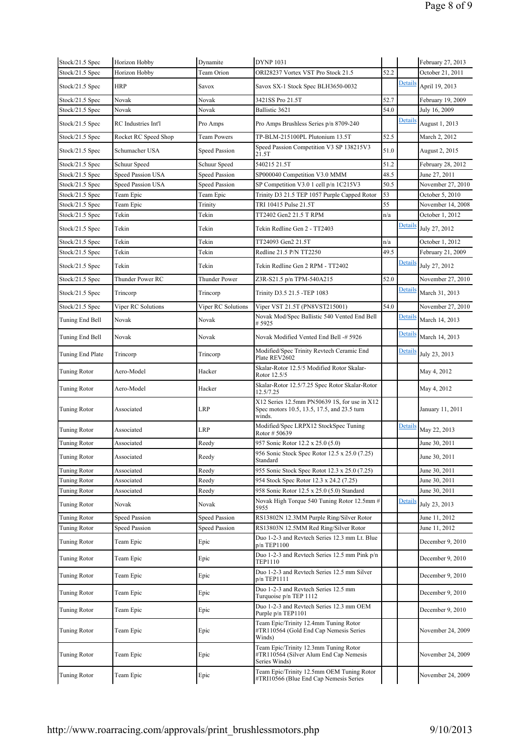| Stock/21.5 Spec     | Horizon Hobby        | Dynamite           | <b>DYNP 1031</b>                                                                                      |      |         | February 27, 2013 |
|---------------------|----------------------|--------------------|-------------------------------------------------------------------------------------------------------|------|---------|-------------------|
| Stock/21.5 Spec     | Horizon Hobby        | Team Orion         | ORI28237 Vortex VST Pro Stock 21.5                                                                    | 52.2 |         | October 21, 2011  |
| Stock/21.5 Spec     | <b>HRP</b>           | Savox              | Savox SX-1 Stock Spec BLH3650-0032                                                                    |      | Details | April 19, 2013    |
| Stock/21.5 Spec     | Novak                | Novak              | 3421SS Pro 21.5T                                                                                      | 52.7 |         | February 19, 2009 |
| Stock/21.5 Spec     | Novak                | Novak              | Ballistic 3621                                                                                        | 54.0 |         | July 16, 2009     |
| Stock/21.5 Spec     | RC Industries Int'l  | Pro Amps           | Pro Amps Brushless Series p/n 8709-240                                                                |      | Details | August 1, 2013    |
| Stock/21.5 Spec     | Rocket RC Speed Shop | <b>Team Powers</b> | TP-BLM-215100PL Plutonium 13.5T                                                                       | 52.5 |         | March 2, 2012     |
| Stock/21.5 Spec     | Schumacher USA       | Speed Passion      | Speed Passion Competition V3 SP 138215V3<br>21.5T                                                     | 51.0 |         | August 2, 2015    |
| Stock/21.5 Spec     | Schuur Speed         | Schuur Speed       | 540215 21.5T                                                                                          | 51.2 |         | February 28, 2012 |
| Stock/21.5 Spec     | Speed Passion USA    | Speed Passion      | SP000040 Competition V3.0 MMM                                                                         | 48.5 |         | June 27, 2011     |
| Stock/21.5 Spec     | Speed Passion USA    | Speed Passion      | SP Competition V3.0 1 cell p/n 1C215V3                                                                | 50.5 |         | November 27, 2010 |
| Stock/21.5 Spec     | Team Epic            | Team Epic          | Trinity D3 21.5 TEP 1057 Purple Capped Rotor                                                          | 53   |         | October 5, 2010   |
| Stock/21.5 Spec     | Team Epic            | Trinity            | TRI 10415 Pulse 21.5T                                                                                 | 55   |         | November 14, 2008 |
| Stock/21.5 Spec     | Tekin                | Tekin              | TT2402 Gen2 21.5 T RPM                                                                                | n/a  |         | October 1, 2012   |
| Stock/21.5 Spec     | Tekin                | Tekin              | Tekin Redline Gen 2 - TT2403                                                                          |      | Details | July 27, 2012     |
| Stock/21.5 Spec     | Tekin                | Tekin              | TT24093 Gen2 21.5T                                                                                    | n/a  |         | October 1, 2012   |
| Stock/21.5 Spec     | Tekin                | Tekin              | Redline 21.5 P/N TT2250                                                                               | 49.5 |         | February 21, 2009 |
| Stock/21.5 Spec     | Tekin                | Tekin              | Tekin Redline Gen 2 RPM - TT2402                                                                      |      | Details | July 27, 2012     |
| Stock/21.5 Spec     | Thunder Power RC     | Thunder Power      | Z3R-S21.5 p/n TPM-540A215                                                                             | 52.0 |         | November 27, 2010 |
| Stock/21.5 Spec     | Trincorp             | Trincorp           | Trinity D3.5 21.5 -TEP 1083                                                                           |      | Detail: | March 31, 2013    |
| Stock/21.5 Spec     | Viper RC Solutions   | Viper RC Solutions | Viper VST 21.5T (PN8VST215001)                                                                        | 54.0 |         | November 27, 2010 |
| Tuning End Bell     | Novak                | Novak              | Novak Mod/Spec Ballistic 540 Vented End Bell<br># 5925                                                |      | Details | March 14, 2013    |
| Tuning End Bell     | Novak                | Novak              | Novak Modified Vented End Bell -# 5926                                                                |      | Details | March 14, 2013    |
| Tuning End Plate    | Trincorp             | Trincorp           | Modified/Spec Trinity Revtech Ceramic End<br>Plate REV2602                                            |      | Details | July 23, 2013     |
| Tuning Rotor        | Aero-Model           | Hacker             | Skalar-Rotor 12.5/5 Modified Rotor Skalar-<br>Rotor 12.5/5                                            |      |         | May 4, 2012       |
| Tuning Rotor        | Aero-Model           | Hacker             | Skalar-Rotor 12.5/7.25 Spec Rotor Skalar-Rotor<br>12.5/7.25                                           |      |         | May 4, 2012       |
| Tuning Rotor        | Associated           | LRP                | X12 Series 12.5mm PN50639 1S, for use in X12<br>Spec motors 10.5, 13.5, 17.5, and 23.5 turn<br>winds. |      |         | January 11, 2011  |
| Tuning Rotor        | Associated           | LRP                | Modified/Spec LRPX12 StockSpec Tuning<br>Rotor #50639                                                 |      | Detail: | May 22, 2013      |
| Tuning Rotor        | Associated           | Reedy              | 957 Sonic Rotor 12.2 x 25.0 (5.0)                                                                     |      |         | June 30, 2011     |
| <b>Tuning Rotor</b> | Associated           | Reedy              | 956 Sonic Stock Spec Rotor 12.5 x 25.0 (7.25)<br>Standard                                             |      |         | June 30, 2011     |
| Tuning Rotor        | Associated           | Reedy              | 955 Sonic Stock Spec Rotot 12.3 x 25.0 (7.25)                                                         |      |         | June 30, 2011     |
| Tuning Rotor        | Associated           | Reedy              | 954 Stock Spec Rotor 12.3 x 24.2 (7.25)                                                               |      |         | June 30, 2011     |
| Tuning Rotor        | Associated           | Reedy              | 958 Sonic Rotor 12.5 x 25.0 (5.0) Standard                                                            |      |         | June 30, 2011     |
| Tuning Rotor        | Novak                | Novak              | Novak High Torque 540 Tuning Rotor 12.5mm #<br>5955                                                   |      | Detail: | July 23, 2013     |
| Tuning Rotor        | Speed Passion        | Speed Passion      | RS13802N 12.3MM Purple Ring/Silver Rotor                                                              |      |         | June 11, 2012     |
| Tuning Rotor        | Speed Passion        | Speed Passion      | RS13803N 12.5MM Red Ring/Silver Rotor                                                                 |      |         | June 11, 2012     |
| Tuning Rotor        | Team Epic            | Epic               | Duo 1-2-3 and Revtech Series 12.3 mm Lt. Blue<br>p/n TEP1100                                          |      |         | December 9, 2010  |
| Tuning Rotor        | Team Epic            | Epic               | Duo 1-2-3 and Revtech Series 12.5 mm Pink p/n<br>TEP1110                                              |      |         | December 9, 2010  |
| Tuning Rotor        | Team Epic            | Epic               | Duo 1-2-3 and Revtech Series 12.5 mm Silver<br>p/n TEP1111                                            |      |         | December 9, 2010  |
| Tuning Rotor        | Team Epic            | Epic               | Duo 1-2-3 and Revtech Series 12.5 mm<br>Turquoise p/n TEP 1112                                        |      |         | December 9, 2010  |
| Tuning Rotor        | Team Epic            | Epic               | Duo 1-2-3 and Revtech Series 12.3 mm OEM<br>Purple p/n TEP1101                                        |      |         | December 9, 2010  |
| Tuning Rotor        | Team Epic            | Epic               | Team Epic/Trinity 12.4mm Tuning Rotor<br>#TR110564 (Gold End Cap Nemesis Series<br>Winds)             |      |         | November 24, 2009 |
| Tuning Rotor        | Team Epic            | Epic               | Team Epic/Trinity 12.3mm Tuning Rotor<br>#TR110564 (Silver Alum End Cap Nemesis<br>Series Winds)      |      |         | November 24, 2009 |
| Tuning Rotor        | Team Epic            | Epic               | Team Epic/Trinity 12.5mm OEM Tuning Rotor<br>#TRI10566 (Blue End Cap Nemesis Series                   |      |         | November 24, 2009 |